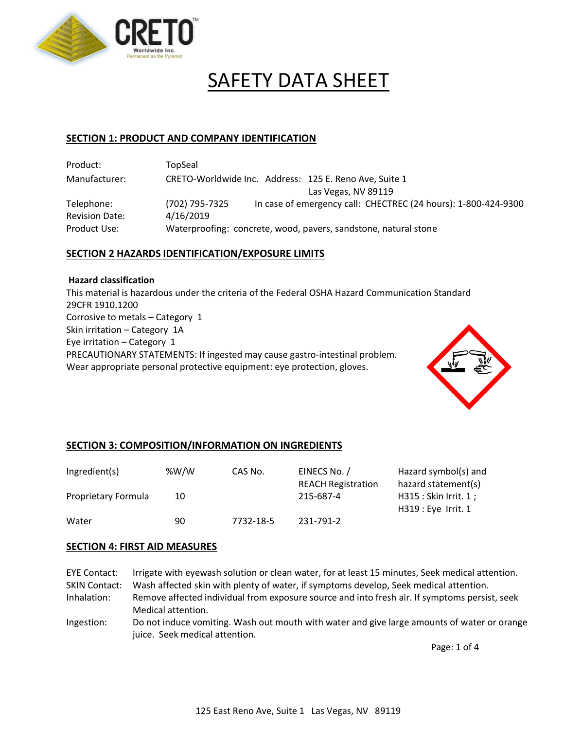

# SAFETY DATA SHEET

#### **SECTION 1: PRODUCT AND COMPANY IDENTIFICATION**

| Product:              | TopSeal                                                                          |  |  |
|-----------------------|----------------------------------------------------------------------------------|--|--|
| Manufacturer:         | CRETO-Worldwide Inc. Address: 125 E. Reno Ave, Suite 1                           |  |  |
|                       | Las Vegas, NV 89119                                                              |  |  |
| Telephone:            | In case of emergency call: CHECTREC (24 hours): 1-800-424-9300<br>(702) 795-7325 |  |  |
| <b>Revision Date:</b> | 4/16/2019                                                                        |  |  |
| Product Use:          | Waterproofing: concrete, wood, pavers, sandstone, natural stone                  |  |  |

## **SECTION 2 HAZARDS IDENTIFICATION/EXPOSURE LIMITS**

#### **Hazard classification**

This material is hazardous under the criteria of the Federal OSHA Hazard Communication Standard 29CFR 1910.1200 Corrosive to metals – Category 1 Skin irritation – Category 1A Eye irritation – Category 1 PRECAUTIONARY STATEMENTS: If ingested may cause gastro-intestinal problem. Wear appropriate personal protective equipment: eye protection, gloves.



## **SECTION 3: COMPOSITION/INFORMATION ON INGREDIENTS**

| Ingredient(s)       | % $W/W$ | CAS No.   | EINECS No. /<br><b>REACH Registration</b> | Hazard symbol(s) and<br>hazard statement(s)   |
|---------------------|---------|-----------|-------------------------------------------|-----------------------------------------------|
| Proprietary Formula | 10      |           | 215-687-4                                 | H315 : Skin Irrit. 1 ;<br>H319 : Eye Irrit. 1 |
| Water               | 90      | 7732-18-5 | 231-791-2                                 |                                               |

## **SECTION 4: FIRST AID MEASURES**

EYE Contact: Irrigate with eyewash solution or clean water, for at least 15 minutes, Seek medical attention. SKIN Contact: Wash affected skin with plenty of water, if symptoms develop, Seek medical attention.

- Inhalation: Remove affected individual from exposure source and into fresh air. If symptoms persist, seek Medical attention.
- Ingestion: Do not induce vomiting. Wash out mouth with water and give large amounts of water or orange juice. Seek medical attention.

Page: 1 of 4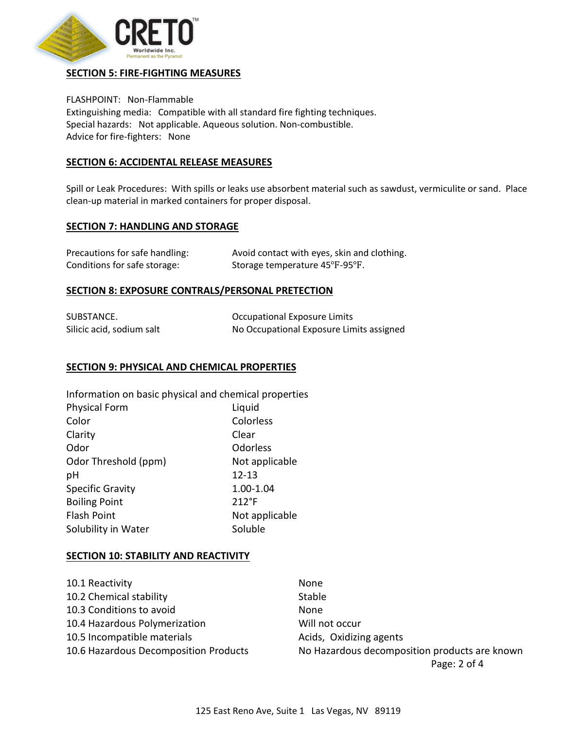

## **SECTION 5: FIRE-FIGHTING MEASURES**

FLASHPOINT: Non-Flammable Extinguishing media: Compatible with all standard fire fighting techniques. Special hazards: Not applicable. Aqueous solution. Non-combustible. Advice for fire-fighters: None

## **SECTION 6: ACCIDENTAL RELEASE MEASURES**

Spill or Leak Procedures: With spills or leaks use absorbent material such as sawdust, vermiculite or sand. Place clean-up material in marked containers for proper disposal.

## **SECTION 7: HANDLING AND STORAGE**

| Precautions for safe handling: | Avoid contact with eyes, skin and clothing. |
|--------------------------------|---------------------------------------------|
| Conditions for safe storage:   | Storage temperature 45°F-95°F.              |

## **SECTION 8: EXPOSURE CONTRALS/PERSONAL PRETECTION**

| SUBSTANCE.                | Occupational Exposure Limits             |
|---------------------------|------------------------------------------|
| Silicic acid, sodium salt | No Occupational Exposure Limits assigned |

## **SECTION 9: PHYSICAL AND CHEMICAL PROPERTIES**

| Information on basic physical and chemical properties |                |
|-------------------------------------------------------|----------------|
| <b>Physical Form</b>                                  | Liquid         |
| Color                                                 | Colorless      |
| Clarity                                               | Clear          |
| Odor                                                  | Odorless       |
| Odor Threshold (ppm)                                  | Not applicable |
| рH                                                    | $12 - 13$      |
| <b>Specific Gravity</b>                               | 1.00-1.04      |
| <b>Boiling Point</b>                                  | $212^{\circ}F$ |
| <b>Flash Point</b>                                    | Not applicable |
| Solubility in Water                                   | Soluble        |

## **SECTION 10: STABILITY AND REACTIVITY**

| 10.1 Reactivity                       | None                                          |
|---------------------------------------|-----------------------------------------------|
| 10.2 Chemical stability               | Stable                                        |
| 10.3 Conditions to avoid              | None                                          |
| 10.4 Hazardous Polymerization         | Will not occur                                |
| 10.5 Incompatible materials           | Acids, Oxidizing agents                       |
| 10.6 Hazardous Decomposition Products | No Hazardous decomposition products are known |

Page: 2 of 4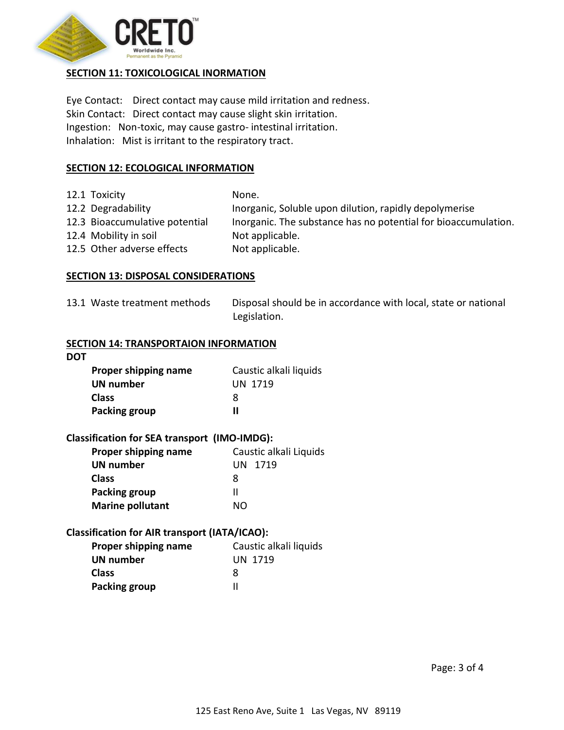

# **SECTION 11: TOXICOLOGICAL INORMATION**

Eye Contact: Direct contact may cause mild irritation and redness. Skin Contact: Direct contact may cause slight skin irritation. Ingestion: Non-toxic, may cause gastro- intestinal irritation. Inhalation: Mist is irritant to the respiratory tract.

## **SECTION 12: ECOLOGICAL INFORMATION**

| 12.1 Toxicity                  | None.                                                          |
|--------------------------------|----------------------------------------------------------------|
| 12.2 Degradability             | Inorganic, Soluble upon dilution, rapidly depolymerise         |
| 12.3 Bioaccumulative potential | Inorganic. The substance has no potential for bioaccumulation. |
| 12.4 Mobility in soil          | Not applicable.                                                |
| 12.5 Other adverse effects     | Not applicable.                                                |

## **SECTION 13: DISPOSAL CONSIDERATIONS**

| 13.1 Waste treatment methods | Disposal should be in accordance with local, state or national |
|------------------------------|----------------------------------------------------------------|
|                              | Legislation.                                                   |

#### **SECTION 14: TRANSPORTAION INFORMATION**

| <b>DOT</b>           |                        |
|----------------------|------------------------|
| Proper shipping name | Caustic alkali liquids |
| <b>UN number</b>     | UN 1719                |
| <b>Class</b>         | x                      |
| Packing group        | Ш                      |

## **Classification for SEA transport (IMO-IMDG):**

| Proper shipping name    | Caustic alkali Liquids |
|-------------------------|------------------------|
| <b>UN number</b>        | UN 1719                |
| <b>Class</b>            | x                      |
| Packing group           | Ш                      |
| <b>Marine pollutant</b> | NΩ                     |

## **Classification for AIR transport (IATA/ICAO):**

| Proper shipping name | Caustic alkali liquids |
|----------------------|------------------------|
| <b>UN number</b>     | <b>UN 1719</b>         |
| <b>Class</b>         | 8                      |
| Packing group        |                        |